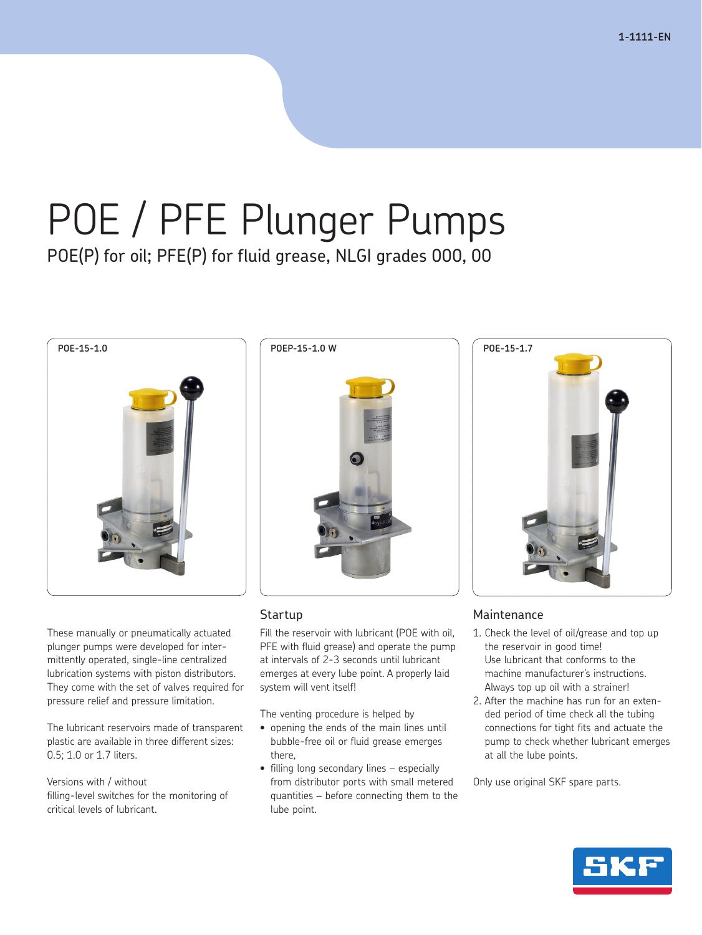# POE / PFE Plunger Pumps POE(P) for oil; PFE(P) for fluid grease, NLGI grades 000, 00



These manually or pneumatically actuated plunger pumps were developed for intermittently operated, single-line centralized lubrication systems with piston distributors. They come with the set of valves required for pressure relief and pressure limitation.

The lubricant reservoirs made of transparent plastic are available in three different sizes: 0.5; 1.0 or 1.7 liters.

Versions with / without filling-level switches for the monitoring of critical levels of lubricant.



# **Startup**

Fill the reservoir with lubricant (POE with oil, PFE with fluid grease) and operate the pump at intervals of 2-3 seconds until lubricant emerges at every lube point. A properly laid system will vent itself!

The venting procedure is helped by

- opening the ends of the main lines until bubble-free oil or fluid grease emerges there,
- filling long secondary lines especially from distributor ports with small metered quantities – before connecting them to the lube point.



# **Maintenance**

- 1. Check the level of oil/grease and top up the reservoir in good time! Use lubricant that conforms to the machine manufacturer's instructions. Always top up oil with a strainer!
- 2. After the machine has run for an extended period of time check all the tubing connections for tight fits and actuate the pump to check whether lubricant emerges at all the lube points.

Only use original SKF spare parts.

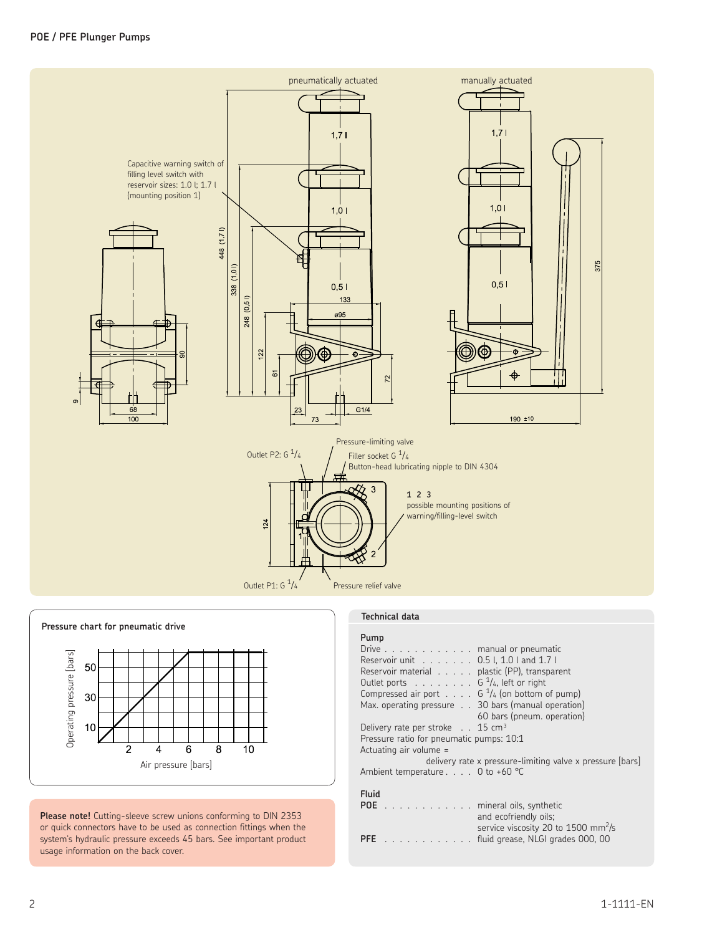



**Please note!** Cutting-sleeve screw unions conforming to DIN 2353 or quick connectors have to be used as connection fittings when the system's hydraulic pressure exceeds 45 bars. See important product usage information on the back cover.

## **Technical data**

| Pump                                                                |  |  |  |  |  |  |
|---------------------------------------------------------------------|--|--|--|--|--|--|
| Drive $\ldots$ manual or pneumatic                                  |  |  |  |  |  |  |
| Reservoir unit 0.5 l, 1.0 l and 1.7 l                               |  |  |  |  |  |  |
| Reservoir material plastic (PP), transparent                        |  |  |  |  |  |  |
| Outlet ports $\ldots \ldots \ldots$ G $\frac{1}{4}$ , left or right |  |  |  |  |  |  |
| Compressed air port $G1/4$ (on bottom of pump)                      |  |  |  |  |  |  |
| Max. operating pressure 30 bars (manual operation)                  |  |  |  |  |  |  |
| 60 bars (pneum. operation)                                          |  |  |  |  |  |  |
| Delivery rate per stroke $\ldots$ 15 cm <sup>3</sup>                |  |  |  |  |  |  |
| Pressure ratio for pneumatic pumps: 10:1                            |  |  |  |  |  |  |
| Actuating air volume =                                              |  |  |  |  |  |  |
| delivery rate x pressure-limiting valve x pressure [bars]           |  |  |  |  |  |  |
| Ambient temperature $\ldots$ 0 to +60 °C                            |  |  |  |  |  |  |
|                                                                     |  |  |  |  |  |  |
| Fluid                                                               |  |  |  |  |  |  |
| POE mineral oils, synthetic                                         |  |  |  |  |  |  |
| and ecofriendly oils;                                               |  |  |  |  |  |  |
| service viscosity 20 to $1500 \text{ mm/s}$                         |  |  |  |  |  |  |

**PFE** . . . . . . . . . . . . fluid grease, NLGI grades 000, 00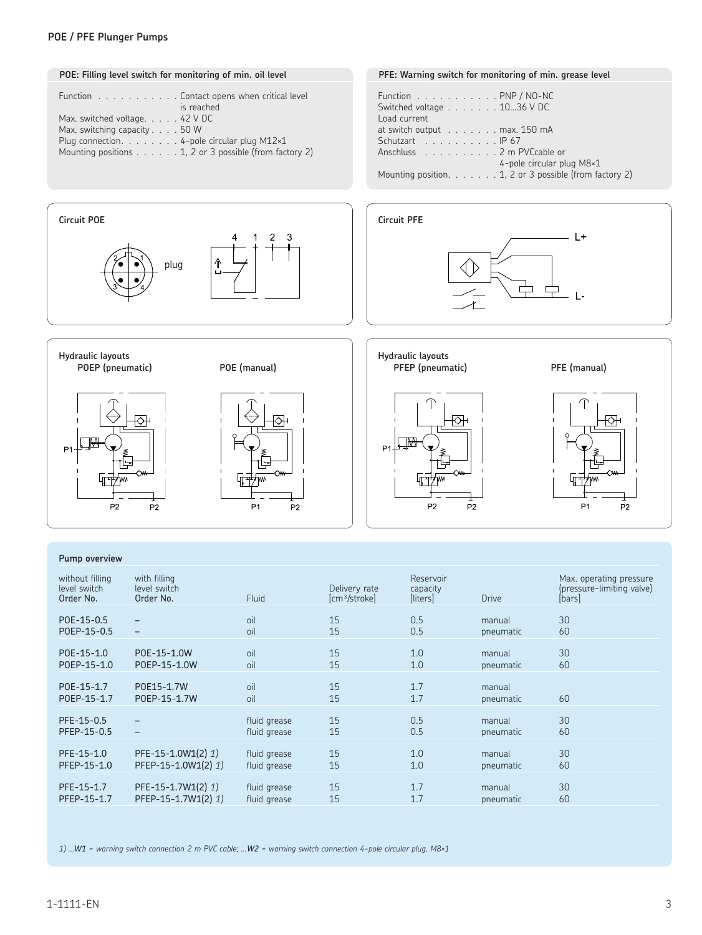### **POE / PFE Plunger Pumps**



#### **Pump overview**

| without filling<br>level switch<br>Order No. | with filling<br>level switch<br>Order No. | <b>Fluid</b> | Delivery rate<br>[cm <sup>3</sup> /stroke] | Reservoir<br>capacity<br>[liters] | <b>Drive</b> | Max. operating pressure<br>(pressure-limiting valve)<br>[bars] |
|----------------------------------------------|-------------------------------------------|--------------|--------------------------------------------|-----------------------------------|--------------|----------------------------------------------------------------|
| POE-15-0.5                                   | -                                         | oil          | 15                                         | 0.5                               | manual       | 30                                                             |
| POEP-15-0.5                                  | -                                         | oil          | 15                                         | 0.5                               | pneumatic    | 60                                                             |
| POE-15-1.0                                   | P0E-15-1.0W                               | oil          | 15                                         | 1.0                               | manual       | 30                                                             |
| POEP-15-1.0                                  | P0EP-15-1.0W                              | oil          | 15                                         | 1.0                               | pneumatic    | 60                                                             |
| POE-15-1.7                                   | P0E15-1.7W                                | oil          | 15                                         | 1.7                               | manual       | 60                                                             |
| POEP-15-1.7                                  | P0EP-15-1.7W                              | oil          | 15                                         | 1.7                               | pneumatic    |                                                                |
| PFE-15-0.5                                   | $\qquad \qquad -$                         | fluid grease | 15                                         | 0.5                               | manual       | 30                                                             |
| PFEP-15-0.5                                  |                                           | fluid grease | 15                                         | 0.5                               | pneumatic    | 60                                                             |
| PFE-15-1.0                                   | PFE-15-1.0W1(2) 1)                        | fluid grease | 15                                         | 1.0                               | manual       | 30                                                             |
| PFEP-15-1.0                                  | PFEP-15-1.0W1(2) 1)                       | fluid grease | 15                                         | 1.0                               | pneumatic    | 60                                                             |
| PFE-15-1.7                                   | PFE-15-1.7W1(2) 1)                        | fluid grease | 15                                         | 1.7                               | manual       | 30                                                             |
| PFEP-15-1.7                                  | PFEP-15-1.7W1(2) 1)                       | fluid grease | 15                                         | 1.7                               | pneumatic    | 60                                                             |

*1) ...W1 = warning switch connection 2 m PVC cable; ...W2 = warning switch connection 4-pole circular plug, M8×1*